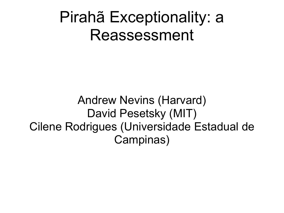#### Pirahã Exceptionality: a Reassessment

Andrew Nevins (Harvard) David Pesetsky (MIT) Cilene Rodrigues (Universidade Estadual de Campinas)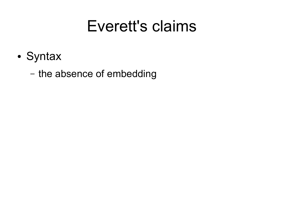#### Everett's claims

• Syntax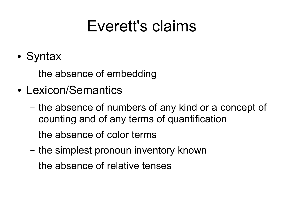#### Everett's claims

- Syntax
	- the absence of embedding
- Lexicon/Semantics
	- the absence of numbers of any kind or a concept of counting and of any terms of quantification
	- the absence of color terms
	- the simplest pronoun inventory known
	- the absence of relative tenses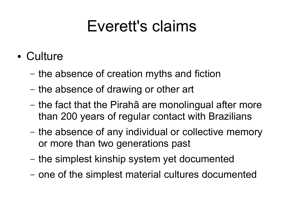#### Everett's claims

- Culture
	- the absence of creation myths and fiction
	- the absence of drawing or other art
	- the fact that the Pirahã are monolingual after more than 200 years of regular contact with Brazilians
	- the absence of any individual or collective memory or more than two generations past
	- the simplest kinship system yet documented
	- one of the simplest material cultures documented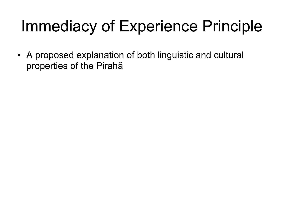• A proposed explanation of both linguistic and cultural properties of the Pirahã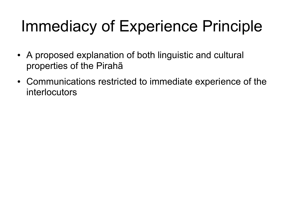- A proposed explanation of both linguistic and cultural properties of the Pirahã
- Communications restricted to immediate experience of the interlocutors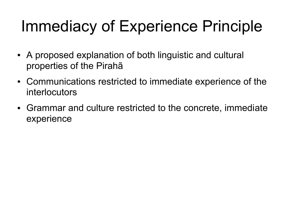- A proposed explanation of both linguistic and cultural properties of the Pirahã
- Communications restricted to immediate experience of the interlocutors
- Grammar and culture restricted to the concrete, immediate experience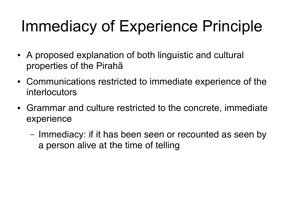- A proposed explanation of both linguistic and cultural properties of the Pirahã
- Communications restricted to immediate experience of the interlocutors
- Grammar and culture restricted to the concrete, immediate experience
	- Immediacy: if it has been seen or recounted as seen by a person alive at the time of telling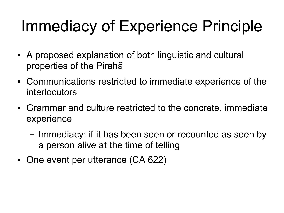- A proposed explanation of both linguistic and cultural properties of the Pirahã
- Communications restricted to immediate experience of the interlocutors
- Grammar and culture restricted to the concrete, immediate experience
	- Immediacy: if it has been seen or recounted as seen by a person alive at the time of telling
- One event per utterance (CA 622)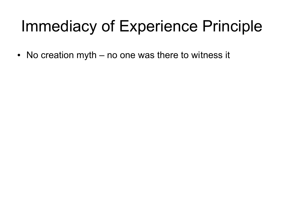$\bullet$  No creation myth – no one was there to witness it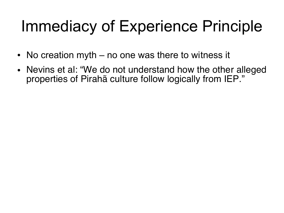- No creation myth  $-$  no one was there to witness it
- Nevins et al: "We do not understand how the other alleged properties of Pirahã culture follow logically from IEP."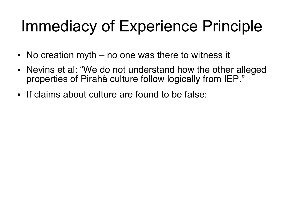- No creation myth  $-$  no one was there to witness it
- Nevins et al: "We do not understand how the other alleged properties of Pirahã culture follow logically from IEP."
- If claims about culture are found to be false: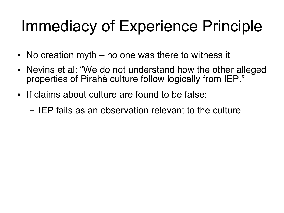- No creation myth  $-$  no one was there to witness it
- Nevins et al: "We do not understand how the other alleged properties of Pirahã culture follow logically from IEP."
- If claims about culture are found to be false:
	- IEP fails as an observation relevant to the culture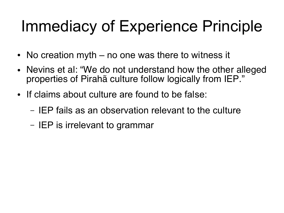- No creation myth  $-$  no one was there to witness it
- Nevins et al: "We do not understand how the other alleged properties of Pirahã culture follow logically from IEP."
- If claims about culture are found to be false:
	- IEP fails as an observation relevant to the culture
	- IEP is irrelevant to grammar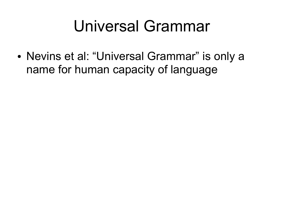#### Universal Grammar

• Nevins et al: "Universal Grammar" is only a name for human capacity of language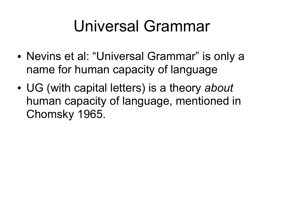### Universal Grammar

- Nevins et al: "Universal Grammar" is only a name for human capacity of language
- UG (with capital letters) is a theory *about* human capacity of language, mentioned in Chomsky 1965.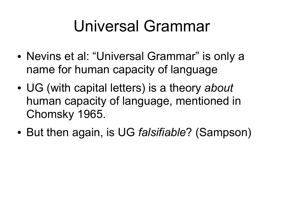## Universal Grammar

- Nevins et al: "Universal Grammar" is only a name for human capacity of language
- UG (with capital letters) is a theory *about* human capacity of language, mentioned in Chomsky 1965.
- But then again, is UG *falsifiable*? (Sampson)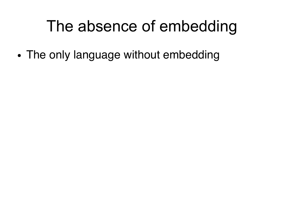• The only language without embedding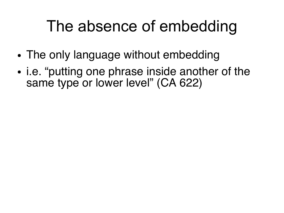- The only language without embedding
- i.e. "putting one phrase inside another of the same type or lower level" (CA 622)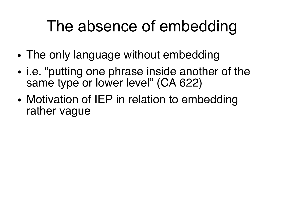- The only language without embedding
- i.e. "putting one phrase inside another of the same type or lower level" (CA 622)
- Motivation of IEP in relation to embedding rather vague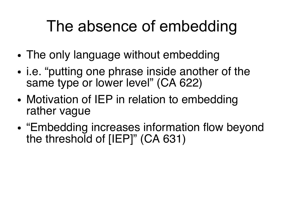- The only language without embedding
- i.e. "putting one phrase inside another of the same type or lower level" (CA 622)
- Motivation of IEP in relation to embedding rather vague
- "Embedding increases information flow beyond the threshold of [IEP]" (CA 631)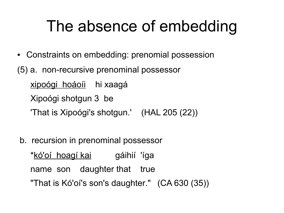- Constraints on embedding: prenomial possession
- (5) a. non-recursive prenominal possessor xipoógi hoáoíi hi xaagá Xipoógi shotgun 3 be 'That is Xipoógi's shotgun.' (HAL 205 (22))
	- b. recursion in prenominal possessor

<u>\*kó'oí hoagí-kai</u> gáihií 'íga name son daughter that true "That is Kó'oí's son's daughter." (CA 630 (35))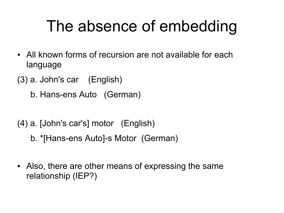- All known forms of recursion are not available for each language
- (3) a. John's car (English)

b. Hans-ens Auto (German)

- (4) a. [John's car's] motor (English)
	- b. \*[Hans-ens Auto]-s Motor (German)
- Also, there are other means of expressing the same relationship (IEP?)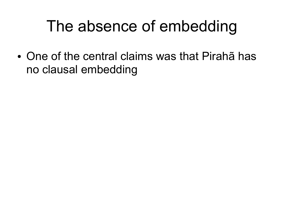• One of the central claims was that Pirahã has no clausal embedding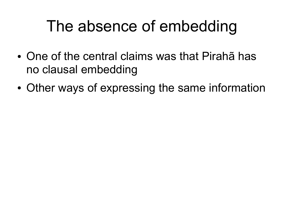- One of the central claims was that Pirahã has no clausal embedding
- Other ways of expressing the same information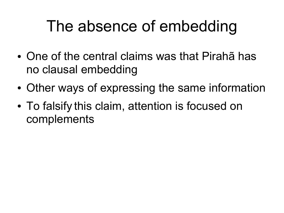- One of the central claims was that Pirahã has no clausal embedding
- Other ways of expressing the same information
- To falsify this claim, attention is focused on complements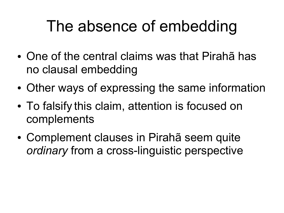- One of the central claims was that Pirahã has no clausal embedding
- Other ways of expressing the same information
- To falsify this claim, attention is focused on complements
- Complement clauses in Pirahã seem quite *ordinary* from a cross-linguistic perspective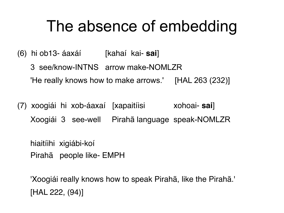(6) hi ob13- áaxáí [kahaí kai- **sai**]

3 see/know-INTNS arrow make-NOMLZR 'He really knows how to make arrows.' [HAL 263 (232)]

(7) xoogiái hi xob-áaxaí [xapaitíisi xohoai- **sai**] Xoogiái 3 see-well Pirahã language speak-NOMLZR

hiaitíihi xigiábi-koí Pirahã people like- EMPH

'Xoogiái really knows how to speak Pirahã, like the Pirahã.' [HAL 222, (94)]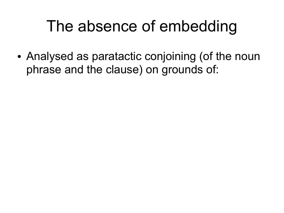• Analysed as paratactic conjoining (of the noun phrase and the clause) on grounds of: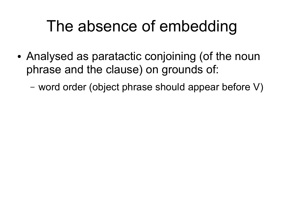- Analysed as paratactic conjoining (of the noun phrase and the clause) on grounds of:
	- word order (object phrase should appear before V)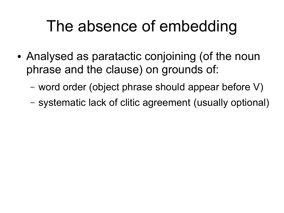- Analysed as paratactic conjoining (of the noun phrase and the clause) on grounds of:
	- word order (object phrase should appear before V)
	- systematic lack of clitic agreement (usually optional)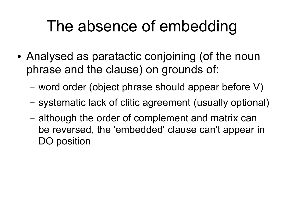- Analysed as paratactic conjoining (of the noun phrase and the clause) on grounds of:
	- word order (object phrase should appear before V)
	- systematic lack of clitic agreement (usually optional)
	- although the order of complement and matrix can be reversed, the 'embedded' clause can't appear in DO position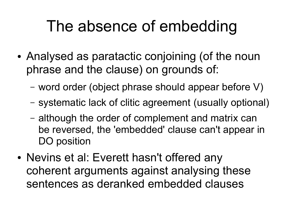- Analysed as paratactic conjoining (of the noun phrase and the clause) on grounds of:
	- word order (object phrase should appear before V)
	- systematic lack of clitic agreement (usually optional)
	- although the order of complement and matrix can be reversed, the 'embedded' clause can't appear in DO position
- Nevins et al: Everett hasn't offered any coherent arguments against analysing these sentences as deranked embedded clauses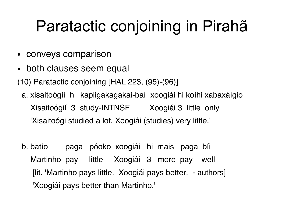# Paratactic conjoining in Pirahã

- conveys comparison
- both clauses seem equal

(10) Paratactic conjoining [HAL 223, (95)-(96)]

- a. xisaitoógií hi kapiigakagakai-baí xoogiái hi koíhi xabaxáígio Xisaitoógií 3 study-INTNSF Xoogiái 3 little only 'Xisaitoógi studied a lot. Xoogiái (studies) very little.'
- b. batío paga póoko xoogiái hi mais paga bíi Martinho pay little Xoogiái 3 more pay well [lit. 'Martinho pays little. Xoogiái pays better. - authors] 'Xoogiái pays better than Martinho.'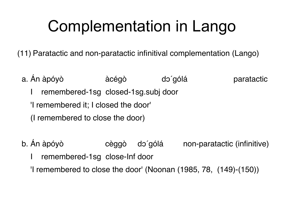## Complementation in Lango

(11) Paratactic and non-paratactic infinitival complementation (Lango)

- a. Án àpóyò àcégò dɔ́gólá paratactic remembered-1sg closed-1sg.subj door 'I remembered it; I closed the door' (I remembered to close the door)
- b. Án àpóyò cèggò dɔ́gólá non-paratactic (infinitive) I remembered-1sg close-Inf door 'I remembered to close the door' (Noonan (1985, 78, (149)-(150))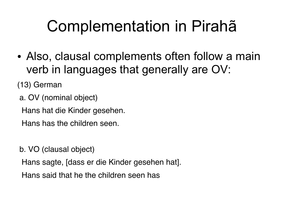# Complementation in Pirahã

• Also, clausal complements often follow a main verb in languages that generally are OV:

(13) German

a. OV (nominal object)

Hans hat die Kinder gesehen.

Hans has the children seen.

b. VO (clausal object)

Hans sagte, [dass er die Kinder gesehen hat].

Hans said that he the children seen has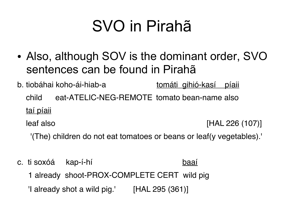# SVO in Pirahã

- Also, although SOV is the dominant order, SVO sentences can be found in Pirahã
- b. tiobáhai koho-ái-hiab-a tomáti gihió-kasí píaii child eat-ATELIC-NEG-REMOTE tomato bean-name also taí píaii leaf also [HAL 226 (107)]

'(The) children do not eat tomatoes or beans or leaf(y vegetables).'

c. ti soxóá kap-í-hí baaí 1 already shoot-PROX-COMPLETE CERT wild pig

'I already shot a wild pig.' [HAL 295 (361)]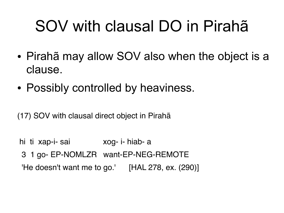# SOV with clausal DO in Pirahã

- Pirahã may allow SOV also when the object is a clause.
- Possibly controlled by heaviness.

(17) SOV with clausal direct object in Pirahã

hi ti xap-i- sai xog- i- hiab- a 3 1 go- EP-NOMLZR want-EP-NEG-REMOTE 'He doesn't want me to go.'  $[HAL 278, ex. (290)]$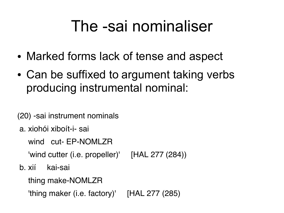#### The -sai nominaliser

- Marked forms lack of tense and aspect
- Can be suffixed to argument taking verbs producing instrumental nominal:

(20) -sai instrument nominals

a. xiohói xiboít-i- sai

wind cut- EP-NOMLZR

'wind cutter (i.e. propeller)' [HAL 277 (284))

b. xií kai-sai

thing make-NOMLZR

'thing maker (i.e. factory)' [HAL 277 (285)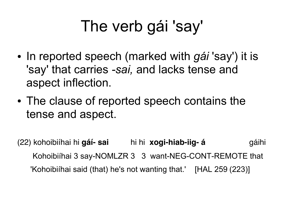- In reported speech (marked with *gái* 'say') it is 'say' that carries *-sai,* and lacks tense and aspect inflection.
- The clause of reported speech contains the tense and aspect.

(22) kohoibiíhai hi **gáí- sai** hi hi **xogi-hiab-iig- á** gáihi Kohoibiíhai 3 say-NOMLZR 3 3 want-NEG-CONT-REMOTE that 'Kohoibiíhai said (that) he's not wanting that.' [HAL 259 (223)]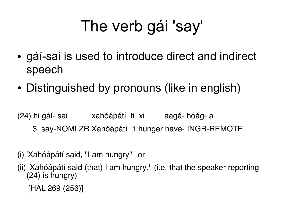- gáí-sai is used to introduce direct and indirect speech
- Distinguished by pronouns (like in english)

(24) hi gáí- sai xahóápátí ti xi aagá- hóág- a

- 3 say-NOMLZR Xahóápátí 1 hunger have- INGR-REMOTE
- (i) 'Xahóápátí said, "I am hungry" ' or
- (ii) 'Xahóápátí said (that) I am hungry.' (i.e. that the speaker reporting (24) is hungry)
	- [HAL 269 (256)]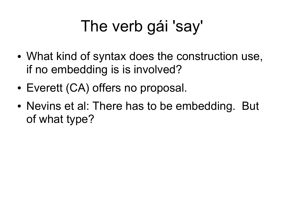- What kind of syntax does the construction use, if no embedding is is involved?
- Everett (CA) offers no proposal.
- Nevins et al: There has to be embedding. But of what type?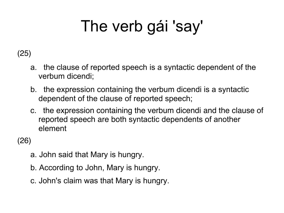#### (25)

- a. the clause of reported speech is a syntactic dependent of the verbum dicendi;
- b. the expression containing the verbum dicendi is a syntactic dependent of the clause of reported speech;
- c. the expression containing the verbum dicendi and the clause of reported speech are both syntactic dependents of another element

(26)

- a. John said that Mary is hungry.
- b. According to John, Mary is hungry.
- c. John's claim was that Mary is hungry.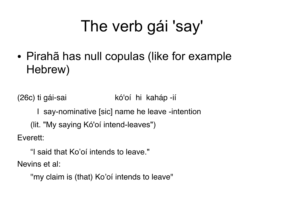• Pirahã has null copulas (like for example Hebrew)

(26c) ti gái-sai kó'oí hi kaháp -ií

I say-nominative [sic] name he leave -intention

(lit. "My saying Kó'oí intend-leaves")

Everett:

"I said that Ko'oí intends to leave." Nevins et al:

''my claim is (that) Ko'oí intends to leave"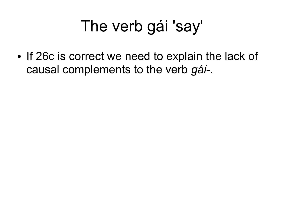• If 26c is correct we need to explain the lack of causal complements to the verb *gái*-.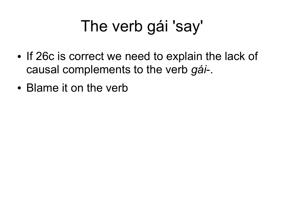- If 26c is correct we need to explain the lack of causal complements to the verb *gái*-.
- Blame it on the verb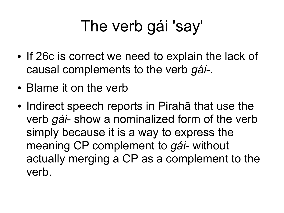- If 26c is correct we need to explain the lack of causal complements to the verb *gái*-.
- Blame it on the verb
- Indirect speech reports in Pirahã that use the verb *gái*- show a nominalized form of the verb simply because it is a way to express the meaning CP complement to *gái*- without actually merging a CP as a complement to the verb.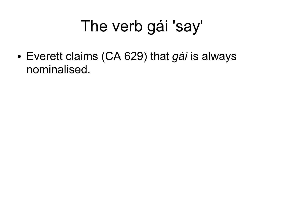● Everett claims (CA 629) that *gái* is always nominalised.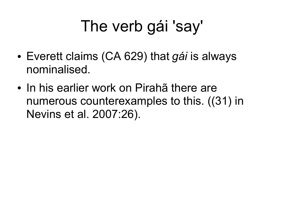- Everett claims (CA 629) that *gái* is always nominalised.
- In his earlier work on Pirahã there are numerous counterexamples to this. ((31) in Nevins et al. 2007:26).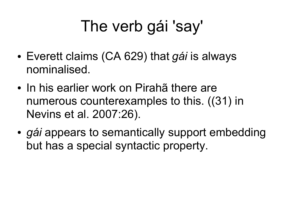- Everett claims (CA 629) that *gái* is always nominalised.
- In his earlier work on Pirahã there are numerous counterexamples to this. ((31) in Nevins et al. 2007:26).
- *gái* appears to semantically support embedding but has a special syntactic property.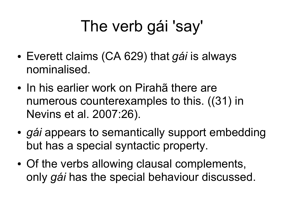- Everett claims (CA 629) that *gái* is always nominalised.
- In his earlier work on Pirahã there are numerous counterexamples to this. ((31) in Nevins et al. 2007:26).
- *gái* appears to semantically support embedding but has a special syntactic property.
- Of the verbs allowing clausal complements, only *gái* has the special behaviour discussed.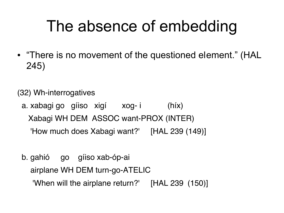• "There is no movement of the questioned element." (HAL 245)

(32) Wh-interrogatives

a. xabagi go gíiso xigí xog- i (híx) Xabagi WH DEM ASSOC want-PROX (INTER) 'How much does Xabagi want?' [HAL 239 (149)]

b. gahió go gíiso xab-óp-ai airplane WH DEM turn-go-ATELIC 'When will the airplane return?' [HAL 239 (150)]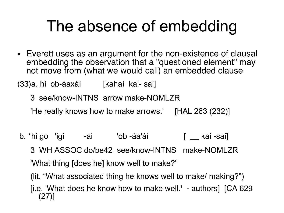• Everett uses as an argument for the non-existence of clausal embedding the observation that a "questioned element" may not move from (what we would call) an embedded clause

(33)a. hi ob-áaxáí [kahaí kai- sai]

3 see/know-INTNS arrow make-NOMLZR

'He really knows how to make arrows.' [HAL 263 (232)]

b. \*hi go ligi -ai lob -áa'áí [ kai -sai]

3 WH ASSOC do/be42 see/know-INTNS make-NOMLZR 'What thing [does he] know well to make?"

(lit. "What associated thing he knows well to make/ making?")

[i.e. 'What does he know how to make well.' - authors] [CA 629 (27)]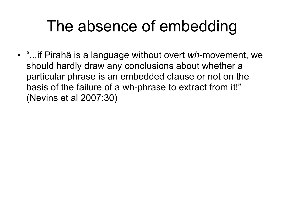● "...if Pirahã is a language without overt *wh*-movement, we should hardly draw any conclusions about whether a particular phrase is an embedded clause or not on the basis of the failure of a wh-phrase to extract from it!" (Nevins et al 2007:30)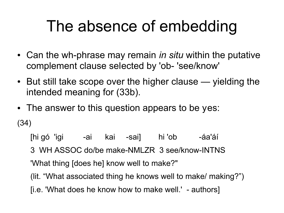- Can the wh-phrase may remain *in situ* within the putative complement clause selected by 'ob- 'see/know'
- $\bullet$  But still take scope over the higher clause yielding the intended meaning for (33b).
- The answer to this question appears to be yes: (34)

[hi gó 'igi -ai kai -sai] hi 'ob -áa'áí 3 WH ASSOC do/be make-NMLZR 3 see/know-INTNS 'What thing [does he] know well to make?" (lit. "What associated thing he knows well to make/ making?") [i.e. 'What does he know how to make well.' - authors]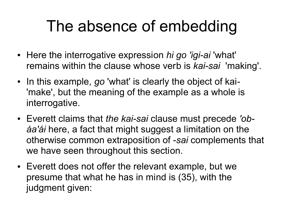- Here the interrogative expression *hi go 'igi-ai* 'what' remains within the clause whose verb is *kai-sai* 'making'.
- In this example, *go* 'what' is clearly the object of kai-'make', but the meaning of the example as a whole is interrogative.
- Everett claims that *the kai-sai* clause must precede *'obáa'ái* here, a fact that might suggest a limitation on the otherwise common extraposition of -*sai* complements that we have seen throughout this section.
- Everett does not offer the relevant example, but we presume that what he has in mind is (35), with the judgment given: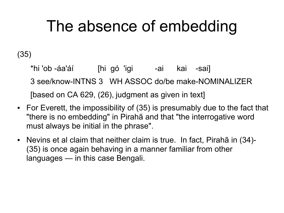(35)

\*hi 'ob -áa'áí [hi gó 'igi | -ai kai -sai] 3 see/know-INTNS 3 WH ASSOC do/be make-NOMINALIZER [based on CA 629, (26), judgment as given in text]

- For Everett, the impossibility of (35) is presumably due to the fact that "there is no embedding" in Pirahã and that "the interrogative word must always be initial in the phrase".
- Nevins et al claim that neither claim is true. In fact, Pirahã in (34)-(35) is once again behaving in a manner familiar from other languages — in this case Bengali.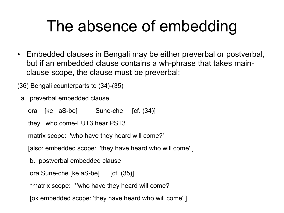• Embedded clauses in Bengali may be either preverbal or postverbal, but if an embedded clause contains a wh-phrase that takes mainclause scope, the clause must be preverbal:

(36) Bengali counterparts to (34)-(35)

a. preverbal embedded clause

ora [ke aS-be] Sune-che [cf. (34)]

```
 they who come-FUT3 hear PST3
```
matrix scope: 'who have they heard will come?'

[also: embedded scope: 'they have heard who will come' ]

b. postverbal embedded clause

ora Sune-che [ke aS-be] [cf. (35)]

\*matrix scope: \*'who have they heard will come?'

[ok embedded scope: 'they have heard who will come' ]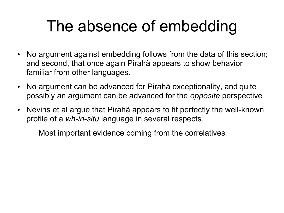- No argument against embedding follows from the data of this section; and second, that once again Pirahã appears to show behavior familiar from other languages.
- No argument can be advanced for Pirahã exceptionality, and quite possibly an argument can be advanced for the *opposite* perspective
- Nevins et al argue that Pirahã appears to fit perfectly the well-known profile of a *wh-in-situ* language in several respects.
	- Most important evidence coming from the correlatives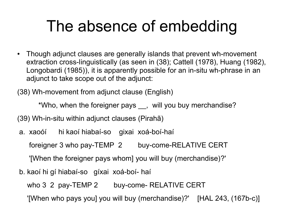- Though adjunct clauses are generally islands that prevent wh-movement extraction cross-linguistically (as seen in (38); Cattell (1978), Huang (1982), Longobardi (1985)), it is apparently possible for an in-situ wh-phrase in an adjunct to take scope out of the adjunct:
- (38) Wh-movement from adjunct clause (English)

\*Who, when the foreigner pays \_\_, will you buy merchandise?

(39) Wh-in-situ within adjunct clauses (Pirahã)

a. xaoóí hi kaoí hiabaí-so gixai xoá-boí-haí

foreigner 3 who pay-TEMP 2 buy-come-RELATIVE CERT

'[When the foreigner pays whom] you will buy (merchandise)?'

b. kaoí hi gí hiabaí-so gíxai xoá-boí- haí

who 3 2 pay-TEMP 2 buy-come- RELATIVE CERT

'[When who pays you] you will buy (merchandise)?' [HAL 243, (167b-c)]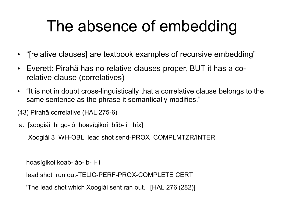- "[relative clauses] are textbook examples of recursive embedding"
- Everett: Pirahã has no relative clauses proper, BUT it has a corelative clause (correlatives)
- "It is not in doubt cross-linguistically that a correlative clause belongs to the same sentence as the phrase it semantically modifies."

(43) Pirahã correlative (HAL 275-6)

a. [xoogiái hi go- ó hoasígikoí bíib- i híx]

Xoogiái 3 WH-OBL lead shot send-PROX COMPLMTZR/INTER

hoasígikoi koab- áo- b- i- i

lead shot run out-TELIC-PERF-PROX-COMPLETE CERT

'The lead shot which Xoogiái sent ran out.' [HAL 276 (282)]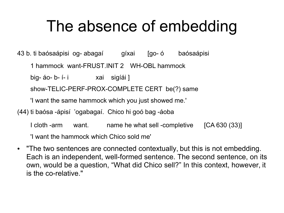43 b. ti baósaápisi og- abagaí gíxai [go- ó baósaápisi

1 hammock want-FRUST.INIT 2 WH-OBL hammock

big- áo- b- í- i vai sigíái ]

show-TELIC-PERF-PROX-COMPLETE CERT be(?) same

'I want the same hammock which you just showed me.'

(44) ti baósa -ápisí 'ogabagaí. Chico hi goó bag -áoba

I cloth -arm want. name he what sell -completive [CA 630 (33)] 'I want the hammock which Chico sold me'

• "The two sentences are connected contextually, but this is not embedding. Each is an independent, well-formed sentence. The second sentence, on its own, would be a question, "What did Chico sell?" In this context, however, it is the co-relative."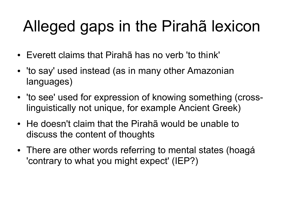# Alleged gaps in the Pirahã lexicon

- Everett claims that Pirahã has no verb 'to think'
- 'to say' used instead (as in many other Amazonian languages)
- 'to see' used for expression of knowing something (crosslinguistically not unique, for example Ancient Greek)
- He doesn't claim that the Pirahã would be unable to discuss the content of thoughts
- There are other words referring to mental states (hoagá 'contrary to what you might expect' (IEP?)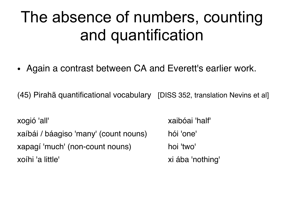• Again a contrast between CA and Everett's earlier work.

(45) Pirahã quantificational vocabulary [DISS 352, translation Nevins et al]

xogió 'all' xaibóai 'half' xaíbái / báagiso 'many' (count nouns) hói 'one' xapagí 'much' (non-count nouns) hoi 'two' xoíhi 'a little'  $x^2 - 3x + 4 = 0$  xi ába 'nothing'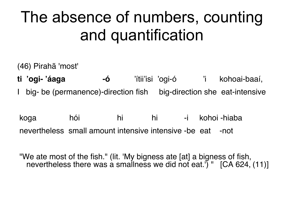(46) Pirahã 'most'

**ti 'ogi- 'áaga -ó** 'ítii'isi 'ogi-ó 'i kohoai-baaí, I big- be (permanence)-direction fish big-direction she eat-intensive

koga hói hi hi -i kohoi -hiaba nevertheless small amount intensive intensive -be eat -not

"We ate most of the fish." (lit. 'My bigness ate [at] a bigness of fish, nevertheless there was a smallness we did not eat.<sup>'</sup>) " [CA 624,  $(11)$ ]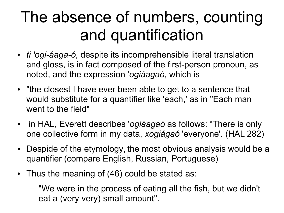- *ti 'ogi-áaga-ó*, despite its incomprehensible literal translation and gloss, is in fact composed of the first-person pronoun, as noted, and the expression '*ogiáagaó*, which is
- "the closest I have ever been able to get to a sentence that would substitute for a quantifier like 'each,' as in "Each man went to the field"
- in HAL, Everett describes '*ogiáagaó* as follows: "There is only one collective form in my data, *xogiágaó* 'everyone'. (HAL 282)
- Despide of the etymology, the most obvious analysis would be a quantifier (compare English, Russian, Portuguese)
- Thus the meaning of (46) could be stated as:
	- "We were in the process of eating all the fish, but we didn't eat a (very very) small amount".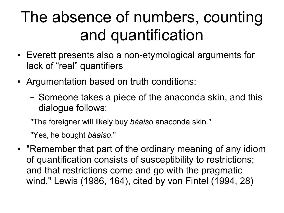- Everett presents also a non-etymological arguments for lack of "real" quantifiers
- Argumentation based on truth conditions:
	- Someone takes a piece of the anaconda skin, and this dialogue follows:

"The foreigner will likely buy *báaiso* anaconda skin."

"Yes, he bought *báaiso*."

• "Remember that part of the ordinary meaning of any idiom of quantification consists of susceptibility to restrictions; and that restrictions come and go with the pragmatic wind." Lewis (1986, 164), cited by von Fintel (1994, 28)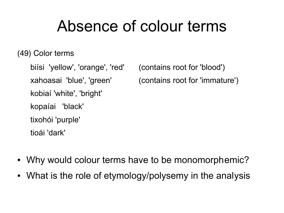#### Absence of colour terms

(49) Color terms

biísi 'yellow', 'orange', 'red' (contains root for 'blood') kobiaí 'white', 'bright' kopaíai 'black' tixohói 'purple' tioái 'dark'

xahoasai 'blue', 'green' (contains root for 'immature')

- Why would colour terms have to be monomorphemic?
- What is the role of etymology/polysemy in the analysis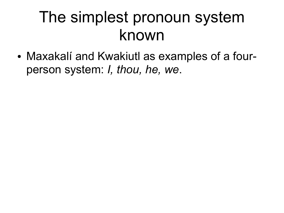• Maxakalí and Kwakiutl as examples of a fourperson system: *I, thou, he, we*.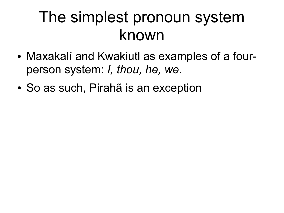- Maxakalí and Kwakiutl as examples of a fourperson system: *I, thou, he, we*.
- So as such, Pirahã is an exception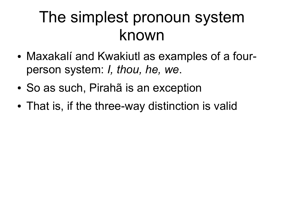- Maxakalí and Kwakiutl as examples of a fourperson system: *I, thou, he, we*.
- So as such, Pirahã is an exception
- That is, if the three-way distinction is valid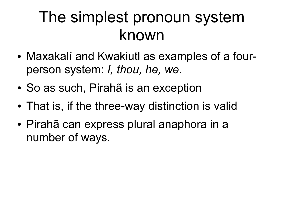- Maxakalí and Kwakiutl as examples of a fourperson system: *I, thou, he, we*.
- So as such, Pirahã is an exception
- That is, if the three-way distinction is valid
- Pirahã can express plural anaphora in a number of ways.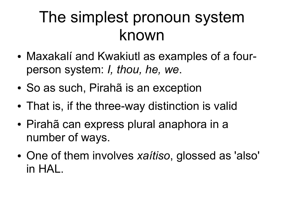## The simplest pronoun system known

- Maxakalí and Kwakiutl as examples of a fourperson system: *I, thou, he, we*.
- So as such, Pirahã is an exception
- That is, if the three-way distinction is valid
- Pirahã can express plural anaphora in a number of ways.
- One of them involves *xaítiso*, glossed as 'also' in HAL.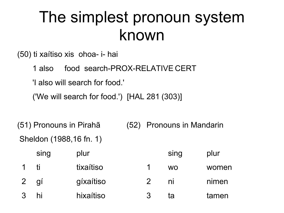#### The simplest pronoun system known

(50) ti xaítiso xis ohoa- i- hai

1 also food search-PROX-RELATIVE CERT

'I also will search for food.'

('We will search for food.') [HAL 281 (303)]

(51) Pronouns in Pirahã (52) Pronouns in Mandarin Sheldon (1988,16 fn. 1)

|                | sing | plur      |               | sing      | plur  |
|----------------|------|-----------|---------------|-----------|-------|
|                | ti   | tixaítiso |               | <b>WO</b> | women |
| $\overline{2}$ | gí   | gíxaítiso |               | ni        | nimen |
|                | hi   | hixaítiso | $\mathcal{R}$ | ta        | tamen |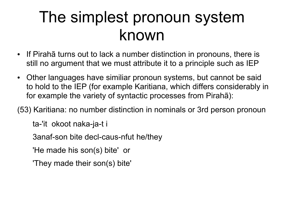## The simplest pronoun system known

- If Pirahã turns out to lack a number distinction in pronouns, there is still no argument that we must attribute it to a principle such as IEP
- Other languages have similiar pronoun systems, but cannot be said to hold to the IEP (for example Karitiana, which differs considerably in for example the variety of syntactic processes from Pirahã):
- (53) Karitiana: no number distinction in nominals or 3rd person pronoun

ta-'it okoot naka-ja-t i

3anaf-son bite decl-caus-nfut he/they

'He made his son(s) bite' or

'They made their son(s) bite'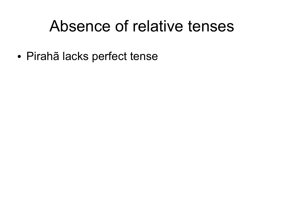#### Absence of relative tenses

● Pirahã lacks perfect tense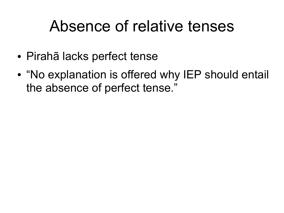## Absence of relative tenses

- Pirahã lacks perfect tense
- $\bullet$ "No explanation is offered why IEP should entail the absence of perfect tense."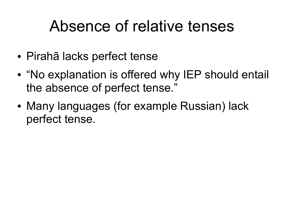## Absence of relative tenses

- Pirahã lacks perfect tense
- $\bullet$ "No explanation is offered why IEP should entail the absence of perfect tense."
- Many languages (for example Russian) lack perfect tense.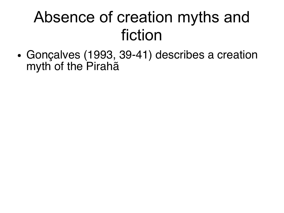• Gonçalves (1993, 39-41) describes a creation myth of the Pirahã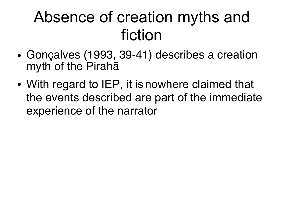- Gonçalves (1993, 39-41) describes a creation myth of the Pirahã
- With regard to IEP, it is nowhere claimed that the events described are part of the immediate experience of the narrator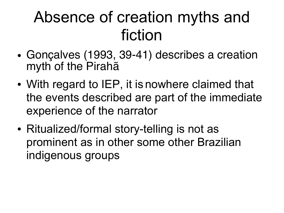- Gonçalves (1993, 39-41) describes a creation myth of the Pirahã
- With regard to IEP, it is nowhere claimed that the events described are part of the immediate experience of the narrator
- Ritualized/formal story-telling is not as prominent as in other some other Brazilian indigenous groups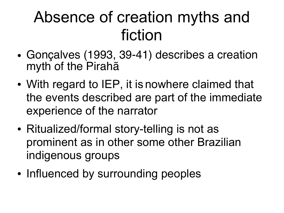- Gonçalves (1993, 39-41) describes a creation myth of the Pirahã
- With regard to IEP, it is nowhere claimed that the events described are part of the immediate experience of the narrator
- Ritualized/formal story-telling is not as prominent as in other some other Brazilian indigenous groups
- Influenced by surrounding peoples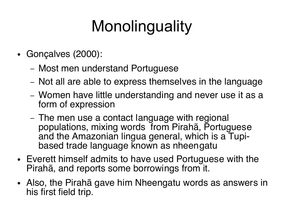# **Monolinguality**

- Gonçalves (2000):
	- Most men understand Portuguese
	- Not all are able to express themselves in the language
	- Women have little understanding and never use it as a form of expression
	- The men use a contact language with regional populations, mixing words from Pirahã, Portuguese and the Amazonian lingua general, which is a Tupibased trade language known as nheengatu
- Everett himself admits to have used Portuguese with the Pirahã, and reports some borrowings from it.
- Also, the Pirahã gave him Nheengatu words as answers in his first field trip.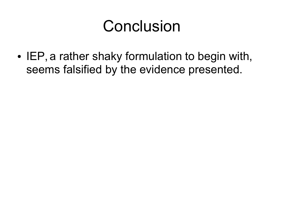• IEP, a rather shaky formulation to begin with, seems falsified by the evidence presented.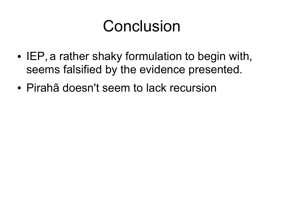- IEP, a rather shaky formulation to begin with, seems falsified by the evidence presented.
- Pirahã doesn't seem to lack recursion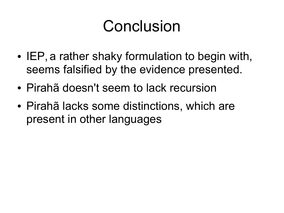- IEP, a rather shaky formulation to begin with, seems falsified by the evidence presented.
- Pirahã doesn't seem to lack recursion
- Pirahã lacks some distinctions, which are present in other languages